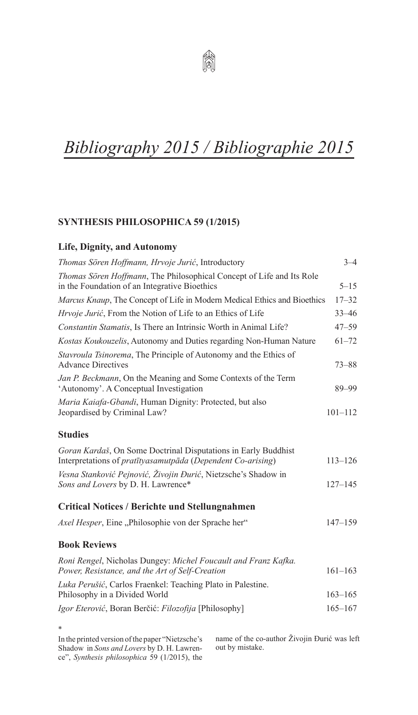

# *Bibliography 2015 / Bibliographie 2015*

# **SYNTHESIS PHILOSOPHICA 59 (1/2015)**

# **Life, Dignity, and Autonomy**

| Thomas Sören Hoffmann, Hrvoje Jurić, Introductory                                                                             | $3 - 4$     |
|-------------------------------------------------------------------------------------------------------------------------------|-------------|
| Thomas Sören Hoffmann, The Philosophical Concept of Life and Its Role<br>in the Foundation of an Integrative Bioethics        | $5 - 15$    |
| Marcus Knaup, The Concept of Life in Modern Medical Ethics and Bioethics                                                      | $17 - 32$   |
| Hrvoje Jurić, From the Notion of Life to an Ethics of Life                                                                    | $33 - 46$   |
| Constantin Stamatis, Is There an Intrinsic Worth in Animal Life?                                                              | $47 - 59$   |
| Kostas Koukouzelis, Autonomy and Duties regarding Non-Human Nature                                                            | $61 - 72$   |
| Stavroula Tsinorema, The Principle of Autonomy and the Ethics of<br><b>Advance Directives</b>                                 | $73 - 88$   |
| Jan P. Beckmann, On the Meaning and Some Contexts of the Term<br>'Autonomy'. A Conceptual Investigation                       | 89-99       |
| Maria Kaiafa-Gbandi, Human Dignity: Protected, but also<br>Jeopardised by Criminal Law?                                       | $101 - 112$ |
| <b>Studies</b>                                                                                                                |             |
| Goran Kardaš, On Some Doctrinal Disputations in Early Buddhist<br>Interpretations of pratītyasamutpāda (Dependent Co-arising) | $113 - 126$ |
| Vesna Stanković Pejnović, Živojin Đurić, Nietzsche's Shadow in<br>Sons and Lovers by D. H. Lawrence*                          | $127 - 145$ |
| <b>Critical Notices / Berichte und Stellungnahmen</b>                                                                         |             |
| Axel Hesper, Eine "Philosophie von der Sprache her"                                                                           | $147 - 159$ |
| <b>Book Reviews</b>                                                                                                           |             |
| Roni Rengel, Nicholas Dungey: Michel Foucault and Franz Kafka.<br>Power, Resistance, and the Art of Self-Creation             | $161 - 163$ |
| Luka Perušić, Carlos Fraenkel: Teaching Plato in Palestine.                                                                   |             |
| Philosophy in a Divided World                                                                                                 | $163 - 165$ |
| Igor Eterović, Boran Berčić: Filozofija [Philosophy]                                                                          | $165 - 167$ |

In the printed version of the paper "Nietzsche's Shadow in *Sons and Lovers* by D. H. Lawrence", *Synthesis philosophica* 59 (1/2015), the

\*

name of the co-author Živojin Đurić was left out by mistake.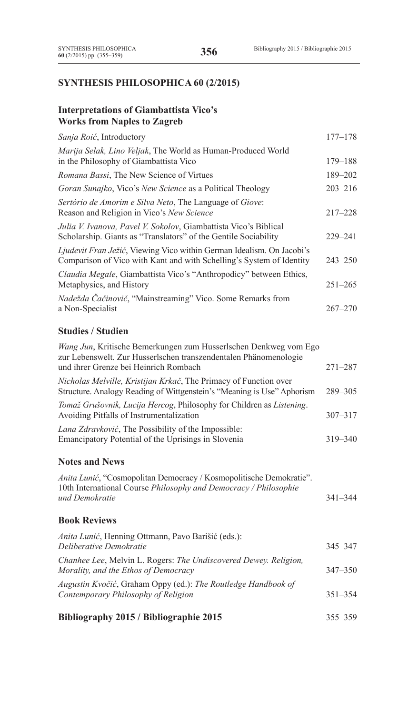# **SYNTHESIS PHILOSOPHICA 60 (2/2015)**

# **Interpretations of Giambattista Vico's Works from Naples to Zagreb**

| Sanja Roić, Introductory                                                                                                                      | $177 - 178$ |
|-----------------------------------------------------------------------------------------------------------------------------------------------|-------------|
| Marija Selak, Lino Veljak, The World as Human-Produced World<br>in the Philosophy of Giambattista Vico                                        | 179-188     |
| Romana Bassi, The New Science of Virtues                                                                                                      | 189-202     |
| Goran Sunajko, Vico's New Science as a Political Theology                                                                                     | $203 - 216$ |
| Sertório de Amorim e Silva Neto, The Language of Giove:<br>Reason and Religion in Vico's New Science                                          | $217 - 228$ |
| Julia V. Ivanova, Pavel V. Sokolov, Giambattista Vico's Biblical<br>Scholarship. Giants as "Translators" of the Gentile Sociability           | $229 - 241$ |
| Ljudevit Fran Ježić, Viewing Vico within German Idealism. On Jacobi's<br>Comparison of Vico with Kant and with Schelling's System of Identity | $243 - 250$ |
| Claudia Megale, Giambattista Vico's "Anthropodicy" between Ethics,<br>Metaphysics, and History                                                | $251 - 265$ |
| Nadežda Čačinovič, "Mainstreaming" Vico. Some Remarks from<br>a Non-Specialist                                                                | $267 - 270$ |
| Studies / Studien                                                                                                                             |             |

# **Studies / Studien**

| Lana Zdravković, The Possibility of the Impossible:<br>Emancipatory Potential of the Uprisings in Slovenia<br>$319 - 340$                                                                    |  |
|----------------------------------------------------------------------------------------------------------------------------------------------------------------------------------------------|--|
| Tomaž Grušovnik, Lucija Hercog, Philosophy for Children as Listening.<br>$307 - 317$<br>Avoiding Pitfalls of Instrumentalization                                                             |  |
| Nicholas Melville, Kristijan Krkač, The Primacy of Function over<br>289-305<br>Structure. Analogy Reading of Wittgenstein's "Meaning is Use" Aphorism                                        |  |
| Wang Jun, Kritische Bemerkungen zum Husserlschen Denkweg vom Ego<br>zur Lebenswelt. Zur Husserlschen transzendentalen Phänomenologie<br>$271 - 287$<br>und ihrer Grenze bei Heinrich Rombach |  |

## **Notes and News**

| Anita Lunić, "Cosmopolitan Democracy / Kosmopolitische Demokratie".            |             |
|--------------------------------------------------------------------------------|-------------|
| 10th International Course <i>Philosophy and Democracy</i> / <i>Philosophie</i> |             |
| und Demokratie                                                                 | $341 - 344$ |

# **Book Reviews**

| $DiLi$ gwanhy $2015/DiLi$ gwanhia $2015$                                                                 | 25525       |
|----------------------------------------------------------------------------------------------------------|-------------|
| Augustin Kvočić, Graham Oppy (ed.): The Routledge Handbook of<br>Contemporary Philosophy of Religion     | $351 - 354$ |
| Chanhee Lee, Melvin L. Rogers: The Undiscovered Dewey. Religion,<br>Morality, and the Ethos of Democracy | $347 - 350$ |
| Anita Lunić, Henning Ottmann, Pavo Barišić (eds.):<br>Deliberative Demokratie                            | 345-347     |

## **Bibliography 2015 / Bibliographie 2015** 355–359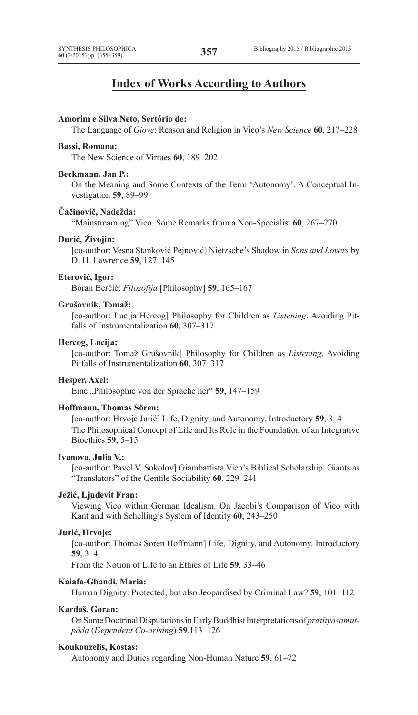# **Index of Works According to Authors**

#### **Amorim e Silva Neto, Sertório de:**

The Language of *Giove*: Reason and Religion in Vico's *New Science* **60**, 217–228

#### **Bassi, Romana:**

The New Science of Virtues **60**, 189–202

#### **Beckmann, Jan P.:**

On the Meaning and Some Contexts of the Term 'Autonomy'. A Conceptual Investigation **59**, 89–99

#### **Čačinovič, Nadežda:**

"Mainstreaming" Vico. Some Remarks from a Non-Specialist **60**, 267–270

#### **Đurić, Živojin:**

[co-author: Vesna Stanković Pejnović] Nietzsche's Shadow in *Sons and Lovers* by D. H. Lawrence **59**, 127–145

#### **Eterović, Igor:**

Boran Berčić: *Filozofija* [Philosophy] **59**, 165–167

#### **Grušovnik, Tomaž:**

[co-author: Lucija Hercog] Philosophy for Children as *Listening*. Avoiding Pitfalls of Instrumentalization **60**, 307–317

#### **Hercog, Lucija:**

[co-author: Tomaž Grušovnik] Philosophy for Children as *Listening*. Avoiding Pitfalls of Instrumentalization **60**, 307–317

#### **Hesper, Axel:**

Eine "Philosophie von der Sprache her" **59**, 147–159

#### **Hoffmann, Thomas Sören:**

[co-author: Hrvoje Jurić] Life, Dignity, and Autonomy. Introductory **59**, 3–4 The Philosophical Concept of Life and Its Role in the Foundation of an Integrative Bioethics **59**, 5–15

#### **Ivanova, Julia V.:**

[co-author: Pavel V. Sokolov] Giambattista Vico's Biblical Scholarship. Giants as "Translators" of the Gentile Sociability **60**, 229–241

#### **Ježić, Ljudevit Fran:**

Viewing Vico within German Idealism. On Jacobi's Comparison of Vico with Kant and with Schelling's System of Identity **60**, 243–250

#### **Jurić, Hrvoje:**

[co-author: Thomas Sören Hoffmann] Life, Dignity, and Autonomy. Introductory **59**, 3–4

From the Notion of Life to an Ethics of Life **59**, 33–46

# **Kaiafa-Gbandi, Maria:**

Human Dignity: Protected, but also Jeopardised by Criminal Law? **59**, 101–112

#### **Kardaš, Goran:**

OnSomeDoctrinalDisputationsinEarlyBuddhistInterpretationsof*pratītyasamutpāda* (*Dependent Co-arising*) **59**,113–126

### **Koukouzelis, Kostas:**

Autonomy and Duties regarding Non-Human Nature **59**, 61–72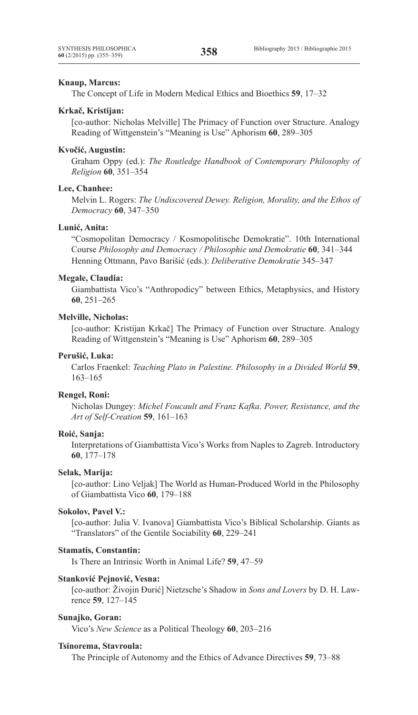#### **Knaup, Marcus:**

The Concept of Life in Modern Medical Ethics and Bioethics **59**, 17–32

#### **Krkač, Kristijan:**

[co-author: Nicholas Melville] The Primacy of Function over Structure. Analogy Reading of Wittgenstein's "Meaning is Use" Aphorism **60**, 289–305

#### **Kvočić, Augustin:**

Graham Oppy (ed.): *The Routledge Handbook of Contemporary Philosophy of Religion* **60**, 351–354

#### **Lee, Chanhee:**

Melvin L. Rogers: *The Undiscovered Dewey. Religion, Morality, and the Ethos of Democracy* **60**, 347–350

#### **Lunić, Anita:**

"Cosmopolitan Democracy / Kosmopolitische Demokratie". 10th International Course *Philosophy and Democracy / Philosophie und Demokratie* **60**, 341–344 Henning Ottmann, Pavo Barišić (eds.): *Deliberative Demokratie* 345–347

#### **Megale, Claudia:**

Giambattista Vico's "Anthropodicy" between Ethics, Metaphysics, and History **60**, 251–265

# **Melville, Nicholas:**

[co-author: Kristijan Krkač] The Primacy of Function over Structure. Analogy Reading of Wittgenstein's "Meaning is Use" Aphorism **60**, 289–305

# **Perušić, Luka:**

Carlos Fraenkel: *Teaching Plato in Palestine. Philosophy in a Divided World* **59**, 163–165

# **Rengel, Roni:**

Nicholas Dungey: *Michel Foucault and Franz Kafka. Power, Resistance, and the Art of Self-Creation* **59**, 161–163

#### **Roić, Sanja:**

Interpretations of Giambattista Vico's Works from Naples to Zagreb. Introductory **60**, 177–178

#### **Selak, Marija:**

[co-author: Lino Veljak] The World as Human-Produced World in the Philosophy of Giambattista Vico **60**, 179–188

#### **Sokolov, Pavel V.:**

[co-author: Julia V. Ivanova] Giambattista Vico's Biblical Scholarship. Giants as "Translators" of the Gentile Sociability **60**, 229–241

#### **Stamatis, Constantin:**

Is There an Intrinsic Worth in Animal Life? **59**, 47–59

#### **Stanković Pejnović, Vesna:**

[co-author: Živojin Đurić] Nietzsche's Shadow in *Sons and Lovers* by D. H. Lawrence **59**, 127–145

#### **Sunajko, Goran:**

Vico's *New Science* as a Political Theology **60**, 203–216

#### **Tsinorema, Stavroula:**

The Principle of Autonomy and the Ethics of Advance Directives **59**, 73–88